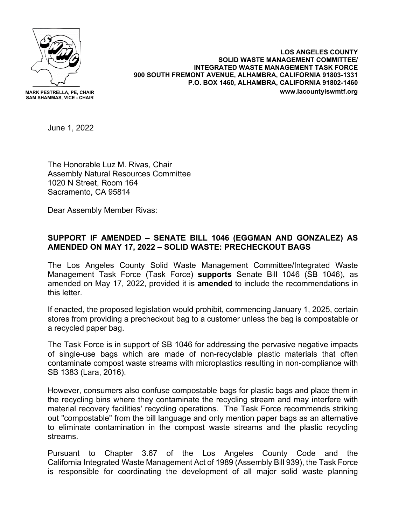

**MARK PESTRELLA, PE, CHAIR SAM SHAMMAS, VICE - CHAIR**

**LOS ANGELES COUNTY SOLID WASTE MANAGEMENT COMMITTEE/ INTEGRATED WASTE MANAGEMENT TASK FORCE 900 SOUTH FREMONT AVENUE, ALHAMBRA, CALIFORNIA 91803-1331 P.O. BOX 1460, ALHAMBRA, CALIFORNIA 91802-1460 www.lacountyiswmtf.org**

June 1, 2022

The Honorable Luz M. Rivas, Chair Assembly Natural Resources Committee 1020 N Street, Room 164 Sacramento, CA 95814

Dear Assembly Member Rivas:

## **SUPPORT IF AMENDED – SENATE BILL 1046 (EGGMAN AND GONZALEZ) AS AMENDED ON MAY 17, 2022 – SOLID WASTE: PRECHECKOUT BAGS**

The Los Angeles County Solid Waste Management Committee/Integrated Waste Management Task Force (Task Force) **supports** Senate Bill 1046 (SB 1046), as amended on May 17, 2022, provided it is **amended** to include the recommendations in this letter.

If enacted, the proposed legislation would prohibit, commencing January 1, 2025, certain stores from providing a precheckout bag to a customer unless the bag is compostable or a recycled paper bag.

The Task Force is in support of SB 1046 for addressing the pervasive negative impacts of single-use bags which are made of non-recyclable plastic materials that often contaminate compost waste streams with microplastics resulting in non-compliance with SB 1383 (Lara, 2016).

However, consumers also confuse compostable bags for plastic bags and place them in the recycling bins where they contaminate the recycling stream and may interfere with material recovery facilities' recycling operations. The Task Force recommends striking out "compostable" from the bill language and only mention paper bags as an alternative to eliminate contamination in the compost waste streams and the plastic recycling streams.

Pursuant to Chapter 3.67 of the Los Angeles County Code and the California Integrated Waste Management Act of 1989 (Assembly Bill 939), the Task Force is responsible for coordinating the development of all major solid waste planning